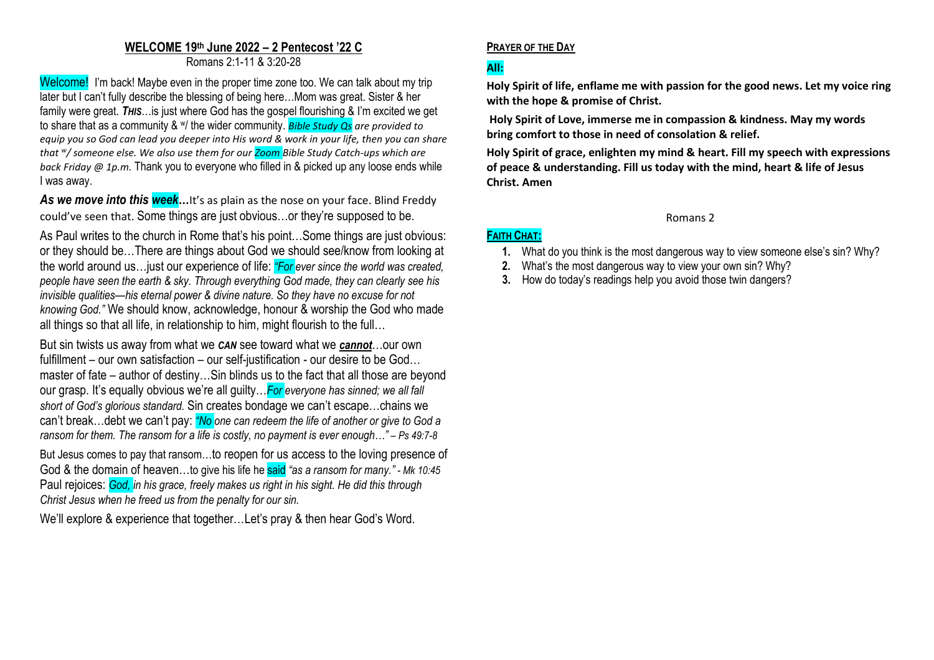#### **WELCOME 19 th June 2022 – 2 Pentecost '22 C** Romans 2:1-11 & 3:20-28

Welcome! I'm back! Maybe even in the proper time zone too. We can talk about my trip later but I can't fully describe the blessing of being here…Mom was great. Sister & her family were great. *THIS*…is just where God has the gospel flourishing & I'm excited we get to share that as a community & w/ the wider community. *Bible Study Qs are provided to equip you so God can lead you deeper into His word & work in your life, then you can share that <sup>w</sup> / someone else. We also use them for our Zoom Bible Study Catch-ups which are back Friday @ 1p.m.* Thank you to everyone who filled in & picked up any loose ends while I was away.

As we move into this week...It's as plain as the nose on your face. Blind Freddy could've seen that. Some things are just obvious…or they're supposed to be.

As Paul writes to the church in Rome that's his point…Some things are just obvious: or they should be…There are things about God we should see/know from looking at the world around us…just our experience of life: *"For ever since the world was created, people have seen the earth & sky. Through everything God made, they can clearly see his invisible qualities—his eternal power & divine nature. So they have no excuse for not knowing God."* We should know, acknowledge, honour & worship the God who made all things so that all life, in relationship to him, might flourish to the full…

But sin twists us away from what we *CAN* see toward what we *cannot*…our own fulfillment – our own satisfaction – our self-justification - our desire to be God… master of fate – author of destiny…Sin blinds us to the fact that all those are beyond our grasp. It's equally obvious we're all guilty…*For everyone has sinned; we all fall short of God's glorious standard.* Sin creates bondage we can't escape…chains we can't break…debt we can't pay: *"No one can redeem the life of another or give to God a ransom for them. The ransom for a life is costly, no payment is ever enough…" – Ps 49:7-8*

But Jesus comes to pay that ransom…to reopen for us access to the loving presence of God & the domain of heaven…to give his life he said *"as a ransom for many." - Mk 10:45* Paul rejoices: *God, in his grace, freely makes us right in his sight. He did this through Christ Jesus when he freed us from the penalty for our sin.*

We'll explore & experience that together…Let's pray & then hear God's Word.

## **PRAYER OF THE DAY**

# **All:**

**FAITH CHAT:**

**Holy Spirit of life, enflame me with passion for the good news. Let my voice ring with the hope & promise of Christ.**

**Holy Spirit of Love, immerse me in compassion & kindness. May my words bring comfort to those in need of consolation & relief.** 

**Holy Spirit of grace, enlighten my mind & heart. Fill my speech with expressions of peace & understanding. Fill us today with the mind, heart & life of Jesus Christ. Amen**

#### Romans 2

## **1.** What do you think is the most dangerous way to view someone else's sin? Why?

- **2.** What's the most dangerous way to view your own sin? Why?
- **3.** How do today's readings help you avoid those twin dangers?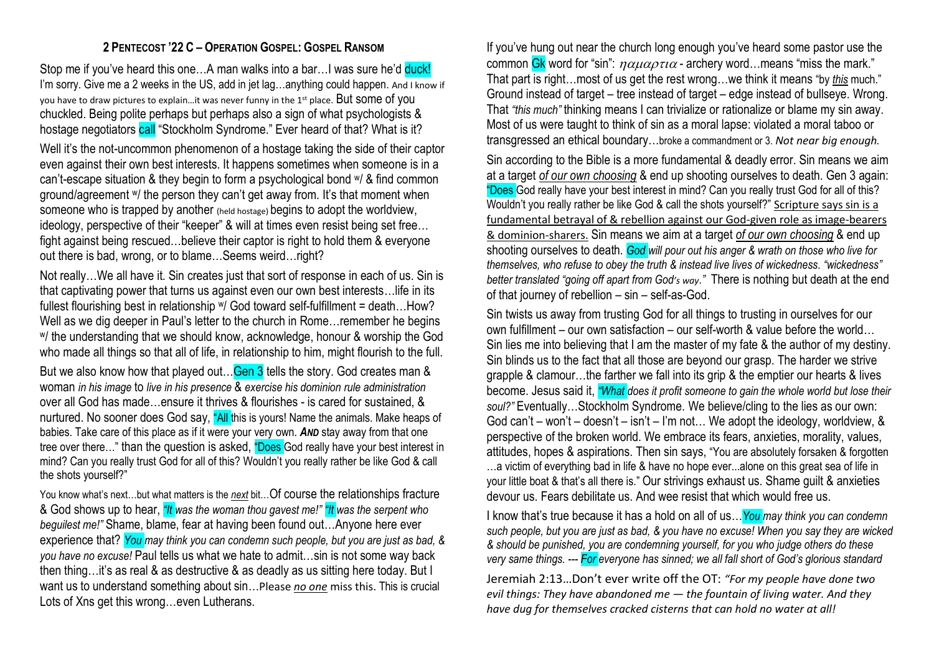## **2 PENTECOST '22 C – OPERATION GOSPEL: GOSPEL RANSOM**

Stop me if you've heard this one...A man walks into a bar...I was sure he'd duck! I'm sorry. Give me a 2 weeks in the US, add in jet lag...anything could happen. And I know if you have to draw pictures to explain...it was never funny in the 1<sup>st</sup> place. But some of you chuckled. Being polite perhaps but perhaps also a sign of what psychologists & hostage negotiators call "Stockholm Syndrome." Ever heard of that? What is it?

Well it's the not-uncommon phenomenon of a hostage taking the side of their captor even against their own best interests. It happens sometimes when someone is in a can't-escape situation & they begin to form a psychological bond w/ & find common ground/agreement <sup>w</sup>/ the person they can't get away from. It's that moment when someone who is trapped by another (held hostage) begins to adopt the worldview, ideology, perspective of their "keeper" & will at times even resist being set free… fight against being rescued…believe their captor is right to hold them & everyone out there is bad, wrong, or to blame... Seems weird...right?

Not really…We all have it. Sin creates just that sort of response in each of us. Sin is that captivating power that turns us against even our own best interests…life in its fullest flourishing best in relationship w/ God toward self-fulfillment = death…How? Well as we dig deeper in Paul's letter to the church in Rome…remember he begins <sup>w</sup>/ the understanding that we should know, acknowledge, honour & worship the God who made all things so that all of life, in relationship to him, might flourish to the full.

But we also know how that played out... Gen 3 tells the story. God creates man & woman *in his image* to *live in his presence* & *exercise his dominion rule administration* over all God has made…ensure it thrives & flourishes - is cared for sustained, & nurtured. No sooner does God say, "All this is yours! Name the animals. Make heaps of babies. Take care of this place as if it were your very own. *AND* stay away from that one tree over there..." than the question is asked, "Does God really have your best interest in mind? Can you really trust God for all of this? Wouldn't you really rather be like God & call the shots yourself?"

You know what's next...but what matters is the **next** bit...Of course the relationships fracture & God shows up to hear, *"It was the woman thou gavest me!" "It was the serpent who beguilest me!"* Shame, blame, fear at having been found out…Anyone here ever experience that? *You may think you can condemn such people, but you are just as bad, & you have no excuse!* Paul tells us what we hate to admit…sin is not some way back then thing…it's as real & as destructive & as deadly as us sitting here today. But I want us to understand something about sin…Please *no one* miss this. This is crucial Lots of Xns get this wrong…even Lutherans.

If you've hung out near the church long enough you've heard some pastor use the common Gk word for "sin":  $\eta \alpha \mu \alpha \rho \tau \iota \alpha$  - archery word... means "miss the mark." That part is right…most of us get the rest wrong…we think it means "by *this* much." Ground instead of target – tree instead of target – edge instead of bullseye. Wrong. That *"this much"* thinking means I can trivialize or rationalize or blame my sin away. Most of us were taught to think of sin as a moral lapse: violated a moral taboo or transgressed an ethical boundary…broke a commandment or 3. *Not near big enough.*

Sin according to the Bible is a more fundamental & deadly error. Sin means we aim at a target *of our own choosing* & end up shooting ourselves to death. Gen 3 again: "Does God really have your best interest in mind? Can you really trust God for all of this? Wouldn't you really rather be like God & call the shots yourself?" Scripture says sin is a fundamental betrayal of & rebellion against our God-given role as image-bearers & dominion-sharers. Sin means we aim at a target *of our own choosing* & end up shooting ourselves to death. *God will pour out his anger & wrath on those who live for themselves, who refuse to obey the truth & instead live lives of wickedness. "wickedness" better translated "going off apart from God's way."* There is nothing but death at the end of that journey of rebellion – sin – self-as-God.

Sin twists us away from trusting God for all things to trusting in ourselves for our own fulfillment – our own satisfaction – our self-worth & value before the world… Sin lies me into believing that I am the master of my fate & the author of my destiny. Sin blinds us to the fact that all those are beyond our grasp. The harder we strive grapple & clamour…the farther we fall into its grip & the emptier our hearts & lives become. Jesus said it, *"What does it profit someone to gain the whole world but lose their soul?"* Eventually…Stockholm Syndrome. We believe/cling to the lies as our own: God can't – won't – doesn't – isn't – I'm not… We adopt the ideology, worldview, & perspective of the broken world. We embrace its fears, anxieties, morality, values, attitudes, hopes & aspirations. Then sin says, "You are absolutely forsaken & forgotten …a victim of everything bad in life & have no hope ever...alone on this great sea of life in your little boat & that's all there is." Our strivings exhaust us. Shame guilt & anxieties devour us. Fears debilitate us. And wee resist that which would free us.

I know that's true because it has a hold on all of us…*You may think you can condemn such people, but you are just as bad, & you have no excuse! When you say they are wicked & should be punished, you are condemning yourself, for you who judge others do these very same things. --- For everyone has sinned; we all fall short of God's glorious standard* Jeremiah 2:13…Don't ever write off the OT: *"For my people have done two evil things: They have abandoned me — the fountain of living water. And they have dug for themselves cracked cisterns that can hold no water at all!*